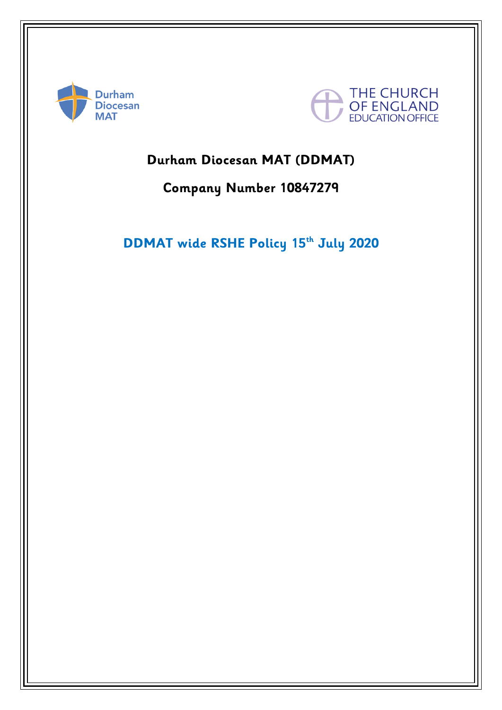



# **Durham Diocesan MAT (DDMAT)**

# **Company Number 10847279**

# **DDMAT wide RSHE Policy 15th July 2020**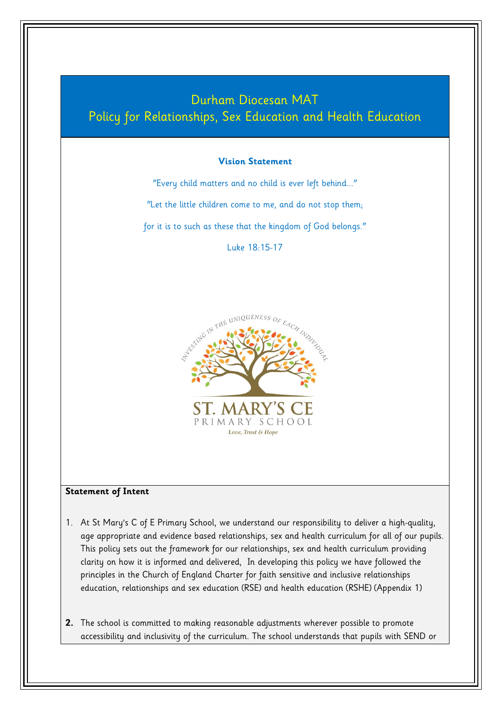

- age appropriate and evidence based relationships, sex and health curriculum for all of our pupils. This policy sets out the framework for our relationships, sex and health curriculum providing clarity on how it is informed and delivered, In developing this policy we have followed the principles in the Church of England Charter for faith sensitive and inclusive relationships education, relationships and sex education (RSE) and health education (RSHE) (Appendix 1)
- **2.** The school is committed to making reasonable adjustments wherever possible to promote accessibility and inclusivity of the curriculum. The school understands that pupils with SEND or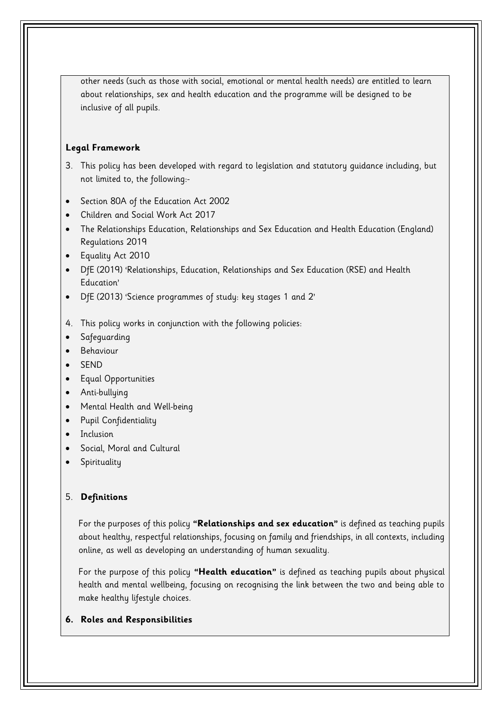other needs (such as those with social, emotional or mental health needs) are entitled to learn about relationships, sex and health education and the programme will be designed to be inclusive of all pupils.

# **Legal Framework**

- 3. This policy has been developed with regard to legislation and statutory guidance including, but not limited to, the following:-
- Section 80A of the Education Act 2002
- Children and Social Work Act 2017
- The Relationships Education, Relationships and Sex Education and Health Education (England) Regulations 2019
- Equality Act 2010
- DfE (2019) 'Relationships, Education, Relationships and Sex Education (RSE) and Health Education'
- DfE (2013) 'Science programmes of study: key stages 1 and 2'
- 4. This policy works in conjunction with the following policies:
- **•** Safeguarding
- Behaviour
- SEND
- Equal Opportunities
- Anti-bullying
- Mental Health and Well-being
- Pupil Confidentiality
- Inclusion
- Social, Moral and Cultural
- Spirituality

# 5. **Definitions**

For the purposes of this policy **"Relationships and sex education"** is defined as teaching pupils about healthy, respectful relationships, focusing on family and friendships, in all contexts, including online, as well as developing an understanding of human sexuality.

For the purpose of this policy **"Health education"** is defined as teaching pupils about physical health and mental wellbeing, focusing on recognising the link between the two and being able to make healthy lifestyle choices.

# **6. Roles and Responsibilities**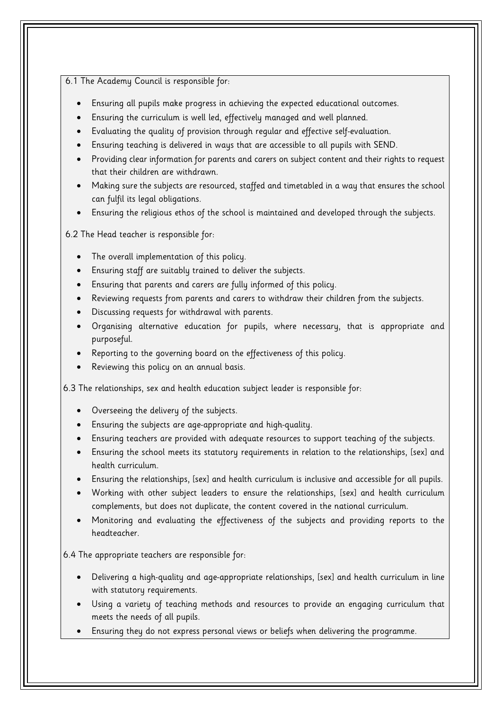## 6.1 The Academy Council is responsible for:

- Ensuring all pupils make progress in achieving the expected educational outcomes.
- Ensuring the curriculum is well led, effectively managed and well planned.
- Evaluating the quality of provision through regular and effective self-evaluation.
- Ensuring teaching is delivered in ways that are accessible to all pupils with SEND.
- Providing clear information for parents and carers on subject content and their rights to request that their children are withdrawn.
- Making sure the subjects are resourced, staffed and timetabled in a way that ensures the school can fulfil its legal obligations.
- Ensuring the religious ethos of the school is maintained and developed through the subjects.

6.2 The Head teacher is responsible for:

- The overall implementation of this policy.
- Ensuring staff are suitably trained to deliver the subjects.
- Ensuring that parents and carers are fully informed of this policy.
- Reviewing requests from parents and carers to withdraw their children from the subjects.
- Discussing requests for withdrawal with parents.
- Organising alternative education for pupils, where necessary, that is appropriate and purposeful.
- Reporting to the governing board on the effectiveness of this policy.
- Reviewing this policy on an annual basis.

6.3 The relationships, sex and health education subject leader is responsible for:

- Overseeing the delivery of the subjects.
- Ensuring the subjects are age-appropriate and high-quality.
- Ensuring teachers are provided with adequate resources to support teaching of the subjects.
- Ensuring the school meets its statutory requirements in relation to the relationships, [sex] and health curriculum.
- Ensuring the relationships, [sex] and health curriculum is inclusive and accessible for all pupils.
- Working with other subject leaders to ensure the relationships, [sex] and health curriculum complements, but does not duplicate, the content covered in the national curriculum.
- Monitoring and evaluating the effectiveness of the subjects and providing reports to the headteacher.

6.4 The appropriate teachers are responsible for:

- Delivering a high-quality and age-appropriate relationships, [sex] and health curriculum in line with statutory requirements.
- Using a variety of teaching methods and resources to provide an engaging curriculum that meets the needs of all pupils.
- Ensuring they do not express personal views or beliefs when delivering the programme.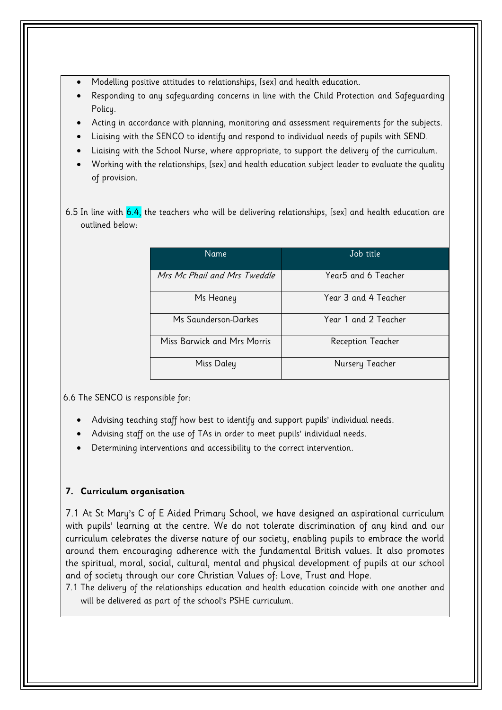- Modelling positive attitudes to relationships, [sex] and health education.
- Responding to any safeguarding concerns in line with the Child Protection and Safeguarding Policy.
- Acting in accordance with planning, monitoring and assessment requirements for the subjects.
- Liaising with the SENCO to identify and respond to individual needs of pupils with SEND.
- Liaising with the School Nurse, where appropriate, to support the delivery of the curriculum.
- Working with the relationships, [sex] and health education subject leader to evaluate the quality of provision.
- 6.5 In line with  $6.4$ , the teachers who will be delivering relationships, [sex] and health education are outlined below:

| Name                         | Job title            |
|------------------------------|----------------------|
| Mrs Mc Phail and Mrs Tweddle | Year5 and 6 Teacher  |
| Ms Heaney                    | Year 3 and 4 Teacher |
| Ms Saunderson-Darkes         | Year 1 and 2 Teacher |
| Miss Barwick and Mrs Morris  | Reception Teacher    |
| Miss Daley                   | Nursery Teacher      |

6.6 The SENCO is responsible for:

- Advising teaching staff how best to identify and support pupils' individual needs.
- Advising staff on the use of TAs in order to meet pupils' individual needs.
- Determining interventions and accessibility to the correct intervention.

# **7. Curriculum organisation**

7.1 At St Mary's C of E Aided Primary School, we have designed an aspirational curriculum with pupils' learning at the centre. We do not tolerate discrimination of any kind and our curriculum celebrates the diverse nature of our society, enabling pupils to embrace the world around them encouraging adherence with the fundamental British values. It also promotes the spiritual, moral, social, cultural, mental and physical development of pupils at our school and of society through our core Christian Values of: Love, Trust and Hope.

7.1 The delivery of the relationships education and health education coincide with one another and will be delivered as part of the school's PSHE curriculum.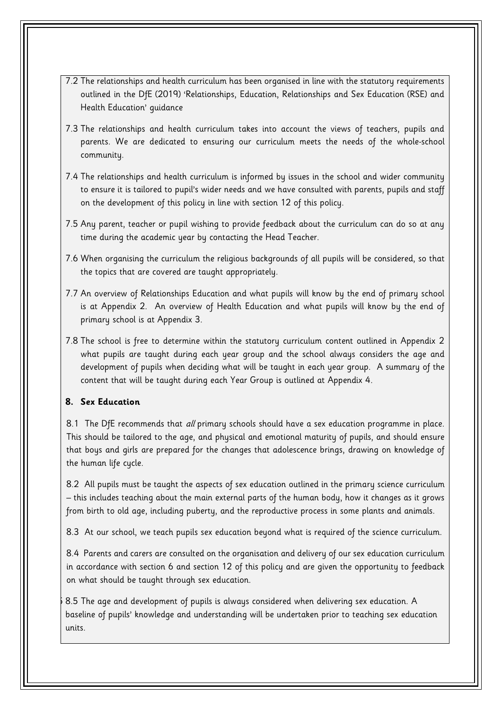- 7.2 The relationships and health curriculum has been organised in line with the statutory requirements outlined in the DfE (2019) 'Relationships, Education, Relationships and Sex Education (RSE) and Health Education' guidance
- 7.3 The relationships and health curriculum takes into account the views of teachers, pupils and parents. We are dedicated to ensuring our curriculum meets the needs of the whole-school community.
- 7.4 The relationships and health curriculum is informed by issues in the school and wider community to ensure it is tailored to pupil's wider needs and we have consulted with parents, pupils and staff on the development of this policy in line with section 12 of this policy.
- 7.5 Any parent, teacher or pupil wishing to provide feedback about the curriculum can do so at any time during the academic year by contacting the Head Teacher.
- 7.6 When organising the curriculum the religious backgrounds of all pupils will be considered, so that the topics that are covered are taught appropriately.
- 7.7 An overview of Relationships Education and what pupils will know by the end of primary school is at Appendix 2. An overview of Health Education and what pupils will know by the end of primary school is at Appendix 3.
- 7.8 The school is free to determine within the statutory curriculum content outlined in Appendix 2 what pupils are taught during each year group and the school always considers the age and development of pupils when deciding what will be taught in each year group. A summary of the content that will be taught during each Year Group is outlined at Appendix 4.

# **8. Sex Education**

8.1 The DfE recommends that all primary schools should have a sex education programme in place. This should be tailored to the age, and physical and emotional maturity of pupils, and should ensure that boys and girls are prepared for the changes that adolescence brings, drawing on knowledge of the human life cycle.

8.2 All pupils must be taught the aspects of sex education outlined in the primary science curriculum – this includes teaching about the main external parts of the human body, how it changes as it grows from birth to old age, including puberty, and the reproductive process in some plants and animals.

8.3 At our school, we teach pupils sex education beyond what is required of the science curriculum.

8.4 Parents and carers are consulted on the organisation and delivery of our sex education curriculum in accordance with section 6 and section 12 of this policy and are given the opportunity to feedback on what should be taught through sex education.

8.5 8.5 The age and development of pupils is always considered when delivering sex education. A baseline of pupils' knowledge and understanding will be undertaken prior to teaching sex education units.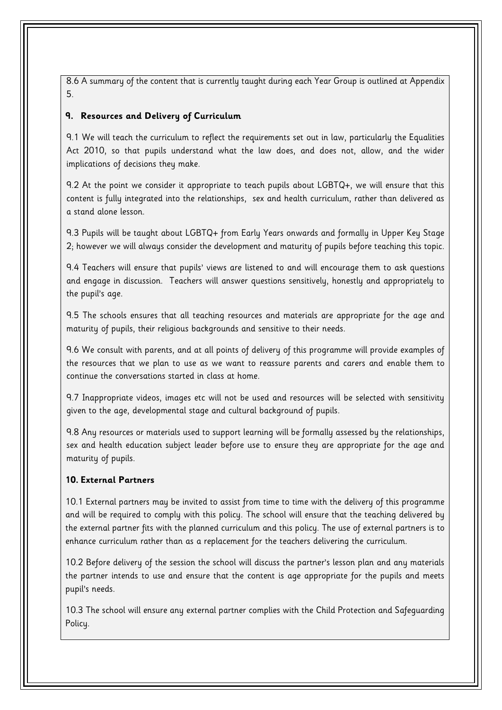8.6 A summary of the content that is currently taught during each Year Group is outlined at Appendix 5.

# **9. Resources and Delivery of Curriculum**

9.1 We will teach the curriculum to reflect the requirements set out in law, particularly the Equalities Act 2010, so that pupils understand what the law does, and does not, allow, and the wider implications of decisions they make.

9.2 At the point we consider it appropriate to teach pupils about LGBTQ+, we will ensure that this content is fully integrated into the relationships, sex and health curriculum, rather than delivered as a stand alone lesson.

9.3 Pupils will be taught about LGBTQ+ from Early Years onwards and formally in Upper Key Stage 2; however we will always consider the development and maturity of pupils before teaching this topic.

9.4 Teachers will ensure that pupils' views are listened to and will encourage them to ask questions and engage in discussion. Teachers will answer questions sensitively, honestly and appropriately to the pupil's age.

9.5 The schools ensures that all teaching resources and materials are appropriate for the age and maturity of pupils, their religious backgrounds and sensitive to their needs.

9.6 We consult with parents, and at all points of delivery of this programme will provide examples of the resources that we plan to use as we want to reassure parents and carers and enable them to continue the conversations started in class at home.

9.7 Inappropriate videos, images etc will not be used and resources will be selected with sensitivity given to the age, developmental stage and cultural background of pupils.

9.8 Any resources or materials used to support learning will be formally assessed by the relationships, sex and health education subject leader before use to ensure they are appropriate for the age and maturity of pupils.

# **10. External Partners**

10.1 External partners may be invited to assist from time to time with the delivery of this programme and will be required to comply with this policy. The school will ensure that the teaching delivered by the external partner fits with the planned curriculum and this policy. The use of external partners is to enhance curriculum rather than as a replacement for the teachers delivering the curriculum.

10.2 Before delivery of the session the school will discuss the partner's lesson plan and any materials the partner intends to use and ensure that the content is age appropriate for the pupils and meets pupil's needs.

10.3 The school will ensure any external partner complies with the Child Protection and Safeguarding Policy.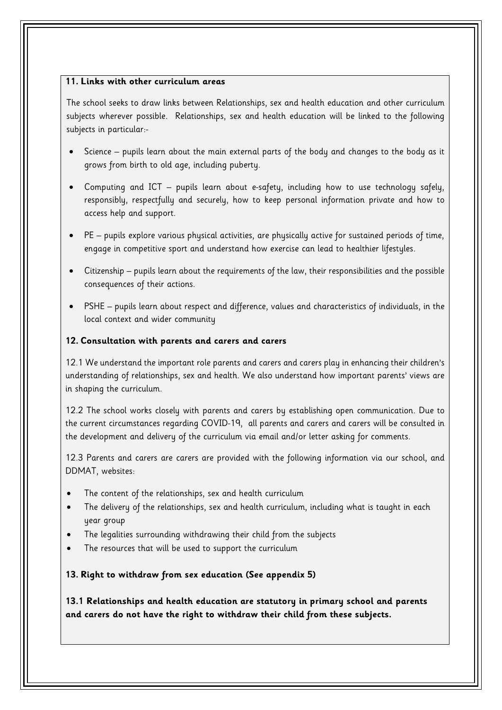## **11. Links with other curriculum areas**

The school seeks to draw links between Relationships, sex and health education and other curriculum subjects wherever possible. Relationships, sex and health education will be linked to the following subjects in particular:-

- Science pupils learn about the main external parts of the body and changes to the body as it grows from birth to old age, including puberty.
- Computing and ICT pupils learn about e-safety, including how to use technology safely, responsibly, respectfully and securely, how to keep personal information private and how to access help and support.
- PE pupils explore various physical activities, are physically active for sustained periods of time, engage in competitive sport and understand how exercise can lead to healthier lifestyles.
- Citizenship pupils learn about the requirements of the law, their responsibilities and the possible consequences of their actions.
- PSHE pupils learn about respect and difference, values and characteristics of individuals, in the local context and wider community

## **12. Consultation with parents and carers and carers**

12.1 We understand the important role parents and carers and carers play in enhancing their children's understanding of relationships, sex and health. We also understand how important parents' views are in shaping the curriculum.

12.2 The school works closely with parents and carers by establishing open communication. Due to the current circumstances regarding COVID-19, all parents and carers and carers will be consulted in the development and delivery of the curriculum via email and/or letter asking for comments.

12.3 Parents and carers are carers are provided with the following information via our school, and DDMAT, websites:

- The content of the relationships, sex and health curriculum
- The delivery of the relationships, sex and health curriculum, including what is taught in each year group
- The legalities surrounding withdrawing their child from the subjects
- The resources that will be used to support the curriculum

# **13. Right to withdraw from sex education (See appendix 5)**

**13.1 Relationships and health education are statutory in primary school and parents and carers do not have the right to withdraw their child from these subjects.**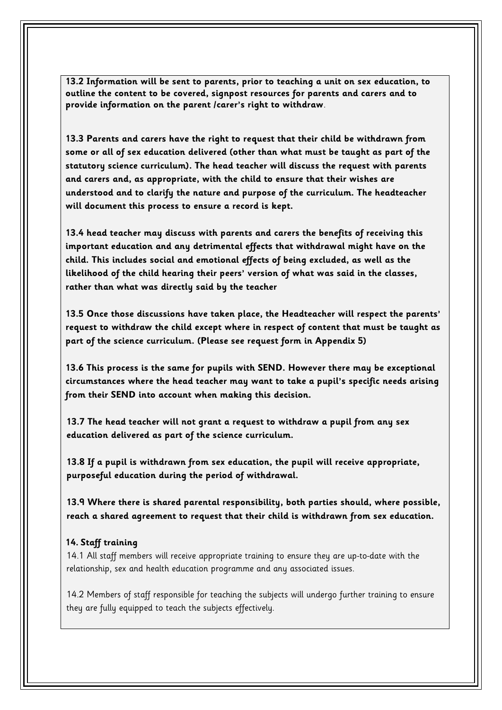**13.2 Information will be sent to parents, prior to teaching a unit on sex education, to outline the content to be covered, signpost resources for parents and carers and to provide information on the parent /carer's right to withdraw**.

**13.3 Parents and carers have the right to request that their child be withdrawn from some or all of sex education delivered (other than what must be taught as part of the statutory science curriculum). The head teacher will discuss the request with parents and carers and, as appropriate, with the child to ensure that their wishes are understood and to clarify the nature and purpose of the curriculum. The headteacher will document this process to ensure a record is kept.** 

**13.4 head teacher may discuss with parents and carers the benefits of receiving this important education and any detrimental effects that withdrawal might have on the child. This includes social and emotional effects of being excluded, as well as the likelihood of the child hearing their peers' version of what was said in the classes, rather than what was directly said by the teacher** 

**13.5 Once those discussions have taken place, the Headteacher will respect the parents' request to withdraw the child except where in respect of content that must be taught as part of the science curriculum. (Please see request form in Appendix 5)**

**13.6 This process is the same for pupils with SEND. However there may be exceptional circumstances where the head teacher may want to take a pupil's specific needs arising from their SEND into account when making this decision.** 

**13.7 The head teacher will not grant a request to withdraw a pupil from any sex education delivered as part of the science curriculum.** 

**13.8 If a pupil is withdrawn from sex education, the pupil will receive appropriate, purposeful education during the period of withdrawal.** 

**13.9 Where there is shared parental responsibility, both parties should, where possible, reach a shared agreement to request that their child is withdrawn from sex education.**

# **14. Staff training**

14.1 All staff members will receive appropriate training to ensure they are up-to-date with the relationship, sex and health education programme and any associated issues.

14.2 Members of staff responsible for teaching the subjects will undergo further training to ensure they are fully equipped to teach the subjects effectively.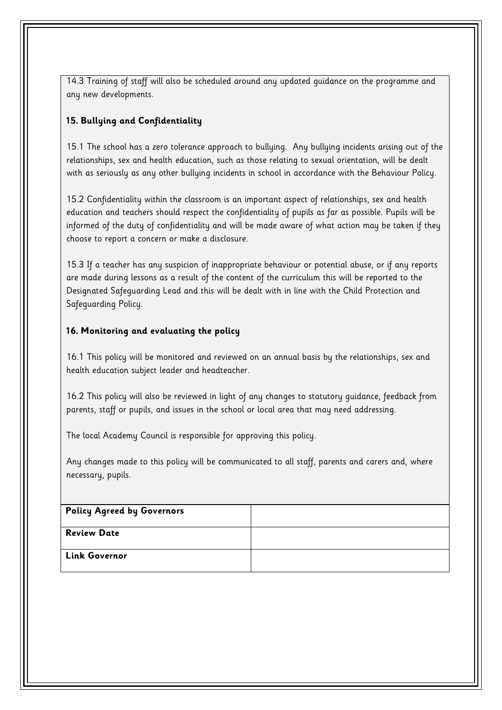14.3 Training of staff will also be scheduled around any updated guidance on the programme and any new developments.

# **15. Bullying and Confidentiality**

15.1 The school has a zero tolerance approach to bullying. Any bullying incidents arising out of the relationships, sex and health education, such as those relating to sexual orientation, will be dealt with as seriously as any other bullying incidents in school in accordance with the Behaviour Policy.

15.2 Confidentiality within the classroom is an important aspect of relationships, sex and health education and teachers should respect the confidentiality of pupils as far as possible. Pupils will be informed of the duty of confidentiality and will be made aware of what action may be taken if they choose to report a concern or make a disclosure.

15.3 If a teacher has any suspicion of inappropriate behaviour or potential abuse, or if any reports are made during lessons as a result of the content of the curriculum this will be reported to the Designated Safeguarding Lead and this will be dealt with in line with the Child Protection and Safeguarding Policy.

# **16. Monitoring and evaluating the policy**

16.1 This policy will be monitored and reviewed on an annual basis by the relationships, sex and health education subject leader and headteacher.

16.2 This policy will also be reviewed in light of any changes to statutory guidance, feedback from parents, staff or pupils, and issues in the school or local area that may need addressing.

The local Academy Council is responsible for approving this policy.

Any changes made to this policy will be communicated to all staff, parents and carers and, where necessary, pupils.

| Policy Agreed by Governors |  |
|----------------------------|--|
| <b>Review Date</b>         |  |
| <b>Link Governor</b>       |  |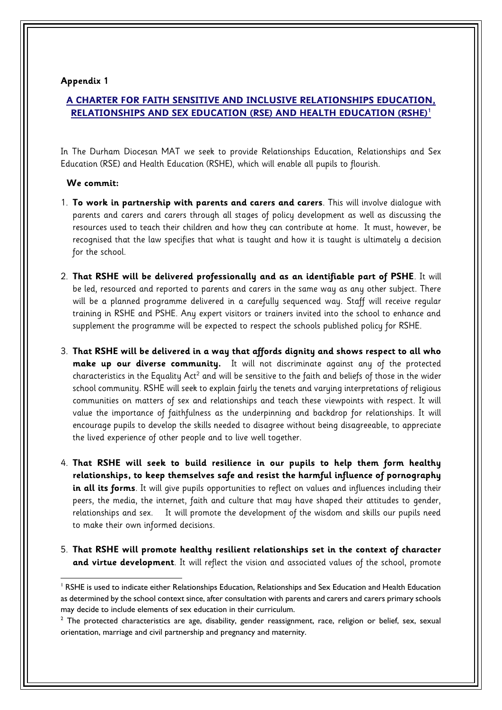# **A CHARTER FOR FAITH SENSITIVE AND INCLUSIVE RELATIONSHIPS EDUCATION, RELATIONSHIPS AND SEX EDUCATION (RSE) AND HEALTH EDUCATION (RSHE)<sup>1</sup>**

In The Durham Diocesan MAT we seek to provide Relationships Education, Relationships and Sex Education (RSE) and Health Education (RSHE), which will enable all pupils to flourish.

#### **We commit:**

- 1. **To work in partnership with parents and carers and carers**. This will involve dialogue with parents and carers and carers through all stages of policy development as well as discussing the resources used to teach their children and how they can contribute at home. It must, however, be recognised that the law specifies that what is taught and how it is taught is ultimately a decision for the school.
- 2. **That RSHE will be delivered professionally and as an identifiable part of PSHE**. It will be led, resourced and reported to parents and carers in the same way as any other subject. There will be a planned programme delivered in a carefully sequenced way. Staff will receive regular training in RSHE and PSHE. Any expert visitors or trainers invited into the school to enhance and supplement the programme will be expected to respect the schools published policy for RSHE.
- 3. **That RSHE will be delivered in a way that affords dignity and shows respect to all who make up our diverse community.** It will not discriminate against any of the protected characteristics in the Equality Act<sup>2</sup> and will be sensitive to the faith and beliefs of those in the wider school community. RSHE will seek to explain fairly the tenets and varying interpretations of religious communities on matters of sex and relationships and teach these viewpoints with respect. It will value the importance of faithfulness as the underpinning and backdrop for relationships. It will encourage pupils to develop the skills needed to disagree without being disagreeable, to appreciate the lived experience of other people and to live well together.
- 4. **That RSHE will seek to build resilience in our pupils to help them form healthy relationships, to keep themselves safe and resist the harmful influence of pornography in all its forms**. It will give pupils opportunities to reflect on values and influences including their peers, the media, the internet, faith and culture that may have shaped their attitudes to gender, relationships and sex. It will promote the development of the wisdom and skills our pupils need to make their own informed decisions.
- 5. **That RSHE will promote healthy resilient relationships set in the context of character and virtue development**. It will reflect the vision and associated values of the school, promote

**<sup>.</sup>** <sup>1</sup> RSHE is used to indicate either Relationships Education, Relationships and Sex Education and Health Education as determined by the school context since, after consultation with parents and carers and carers primary schools may decide to include elements of sex education in their curriculum.

 $2$  The protected characteristics are age, disability, gender reassignment, race, religion or belief, sex, sexual orientation, marriage and civil partnership and pregnancy and maternity.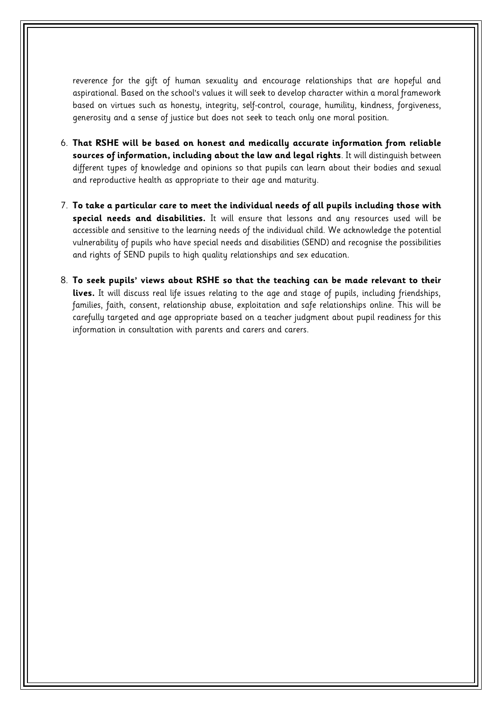reverence for the gift of human sexuality and encourage relationships that are hopeful and aspirational. Based on the school's values it will seek to develop character within a moral framework based on virtues such as honesty, integrity, self-control, courage, humility, kindness, forgiveness, generosity and a sense of justice but does not seek to teach only one moral position.

- 6. **That RSHE will be based on honest and medically accurate information from reliable sources of information, including about the law and legal rights**. It will distinguish between different types of knowledge and opinions so that pupils can learn about their bodies and sexual and reproductive health as appropriate to their age and maturity.
- 7. **To take a particular care to meet the individual needs of all pupils including those with special needs and disabilities.** It will ensure that lessons and any resources used will be accessible and sensitive to the learning needs of the individual child. We acknowledge the potential vulnerability of pupils who have special needs and disabilities (SEND) and recognise the possibilities and rights of SEND pupils to high quality relationships and sex education.
- 8. **To seek pupils' views about RSHE so that the teaching can be made relevant to their lives.** It will discuss real life issues relating to the age and stage of pupils, including friendships, families, faith, consent, relationship abuse, exploitation and safe relationships online. This will be carefully targeted and age appropriate based on a teacher judgment about pupil readiness for this information in consultation with parents and carers and carers.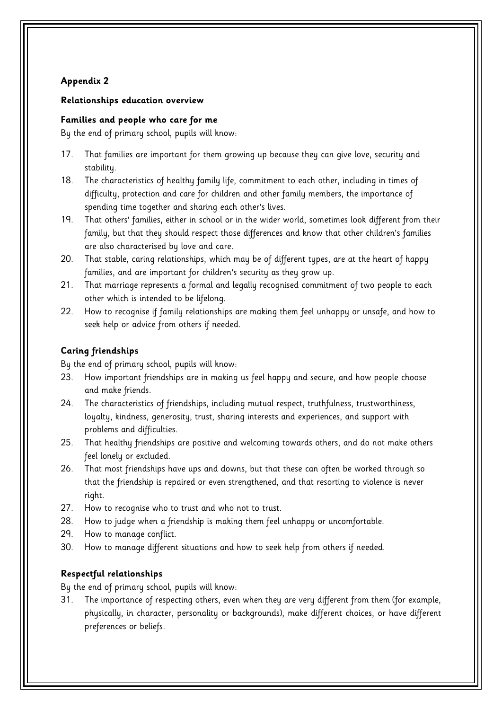## **Relationships education overview**

## **Families and people who care for me**

By the end of primary school, pupils will know:

- 17. That families are important for them growing up because they can give love, security and stability.
- 18. The characteristics of healthy family life, commitment to each other, including in times of difficulty, protection and care for children and other family members, the importance of spending time together and sharing each other's lives.
- 19. That others' families, either in school or in the wider world, sometimes look different from their family, but that they should respect those differences and know that other children's families are also characterised by love and care.
- 20. That stable, caring relationships, which may be of different types, are at the heart of happy families, and are important for children's security as they grow up.
- 21. That marriage represents a formal and legally recognised commitment of two people to each other which is intended to be lifelong.
- 22. How to recognise if family relationships are making them feel unhappy or unsafe, and how to seek help or advice from others if needed.

# **Caring friendships**

By the end of primary school, pupils will know:

- 23. How important friendships are in making us feel happy and secure, and how people choose and make friends.
- 24. The characteristics of friendships, including mutual respect, truthfulness, trustworthiness, loyalty, kindness, generosity, trust, sharing interests and experiences, and support with problems and difficulties.
- 25. That healthy friendships are positive and welcoming towards others, and do not make others feel lonely or excluded.
- 26. That most friendships have ups and downs, but that these can often be worked through so that the friendship is repaired or even strengthened, and that resorting to violence is never right.
- 27. How to recognise who to trust and who not to trust.
- 28. How to judge when a friendship is making them feel unhappy or uncomfortable.
- 29. How to manage conflict.
- 30. How to manage different situations and how to seek help from others if needed.

# **Respectful relationships**

By the end of primary school, pupils will know:

31. The importance of respecting others, even when they are very different from them (for example, physically, in character, personality or backgrounds), make different choices, or have different preferences or beliefs.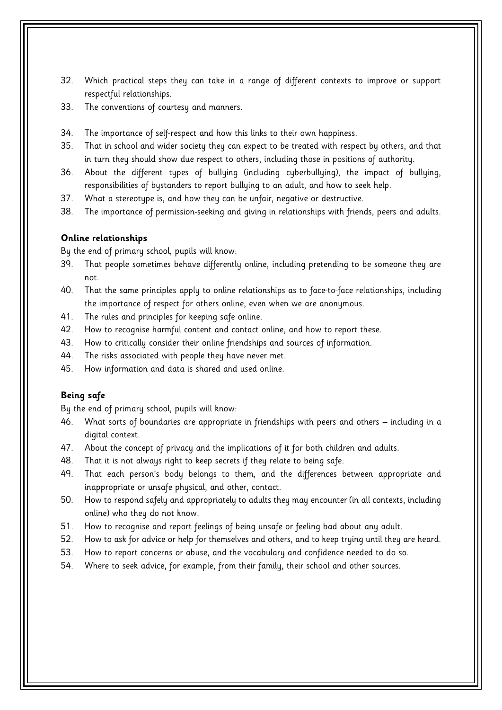- 32. Which practical steps they can take in a range of different contexts to improve or support respectful relationships.
- 33. The conventions of courtesy and manners.
- 34. The importance of self-respect and how this links to their own happiness.
- 35. That in school and wider society they can expect to be treated with respect by others, and that in turn they should show due respect to others, including those in positions of authority.
- 36. About the different types of bullying (including cyberbullying), the impact of bullying, responsibilities of bystanders to report bullying to an adult, and how to seek help.
- 37. What a stereotype is, and how they can be unfair, negative or destructive.
- 38. The importance of permission-seeking and giving in relationships with friends, peers and adults.

## **Online relationships**

By the end of primary school, pupils will know:

- 39. That people sometimes behave differently online, including pretending to be someone they are not.
- 40. That the same principles apply to online relationships as to face-to-face relationships, including the importance of respect for others online, even when we are anonymous.
- 41. The rules and principles for keeping safe online.
- 42. How to recognise harmful content and contact online, and how to report these.
- 43. How to critically consider their online friendships and sources of information.
- 44. The risks associated with people they have never met.
- 45. How information and data is shared and used online.

#### **Being safe**

- 46. What sorts of boundaries are appropriate in friendships with peers and others including in a digital context.
- 47. About the concept of privacy and the implications of it for both children and adults.
- 48. That it is not always right to keep secrets if they relate to being safe.
- 49. That each person's body belongs to them, and the differences between appropriate and inappropriate or unsafe physical, and other, contact.
- 50. How to respond safely and appropriately to adults they may encounter (in all contexts, including online) who they do not know.
- 51. How to recognise and report feelings of being unsafe or feeling bad about any adult.
- 52. How to ask for advice or help for themselves and others, and to keep trying until they are heard.
- 53. How to report concerns or abuse, and the vocabulary and confidence needed to do so.
- 54. Where to seek advice, for example, from their family, their school and other sources.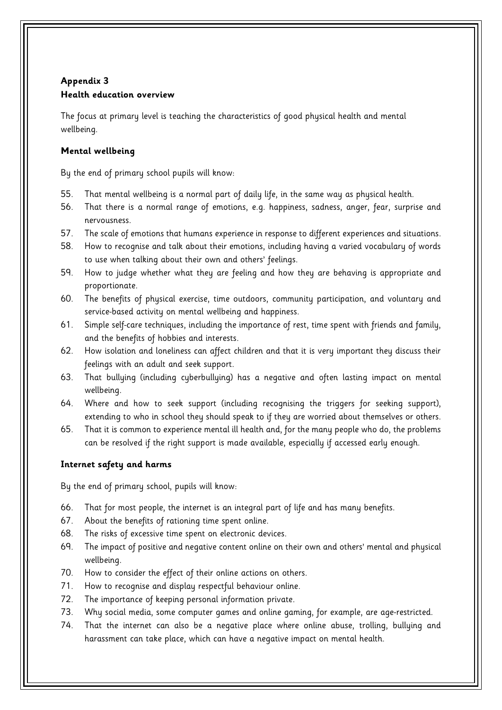# **Appendix 3 Health education overview**

The focus at primary level is teaching the characteristics of good physical health and mental wellbeing.

# **Mental wellbeing**

By the end of primary school pupils will know:

- 55. That mental wellbeing is a normal part of daily life, in the same way as physical health.
- 56. That there is a normal range of emotions, e.g. happiness, sadness, anger, fear, surprise and nervousness.
- 57. The scale of emotions that humans experience in response to different experiences and situations.
- 58. How to recognise and talk about their emotions, including having a varied vocabulary of words to use when talking about their own and others' feelings.
- 59. How to judge whether what they are feeling and how they are behaving is appropriate and proportionate.
- 60. The benefits of physical exercise, time outdoors, community participation, and voluntary and service-based activity on mental wellbeing and happiness.
- 61. Simple self-care techniques, including the importance of rest, time spent with friends and family, and the benefits of hobbies and interests.
- 62. How isolation and loneliness can affect children and that it is very important they discuss their feelings with an adult and seek support.
- 63. That bullying (including cyberbullying) has a negative and often lasting impact on mental wellbeing.
- 64. Where and how to seek support (including recognising the triggers for seeking support), extending to who in school they should speak to if they are worried about themselves or others.
- 65. That it is common to experience mental ill health and, for the many people who do, the problems can be resolved if the right support is made available, especially if accessed early enough.

# **Internet safety and harms**

- 66. That for most people, the internet is an integral part of life and has many benefits.
- 67. About the benefits of rationing time spent online.
- 68. The risks of excessive time spent on electronic devices.
- 69. The impact of positive and negative content online on their own and others' mental and physical wellbeing.
- 70. How to consider the effect of their online actions on others.
- 71. How to recognise and display respectful behaviour online.
- 72. The importance of keeping personal information private.
- 73. Why social media, some computer games and online gaming, for example, are age-restricted.
- 74. That the internet can also be a negative place where online abuse, trolling, bullying and harassment can take place, which can have a negative impact on mental health.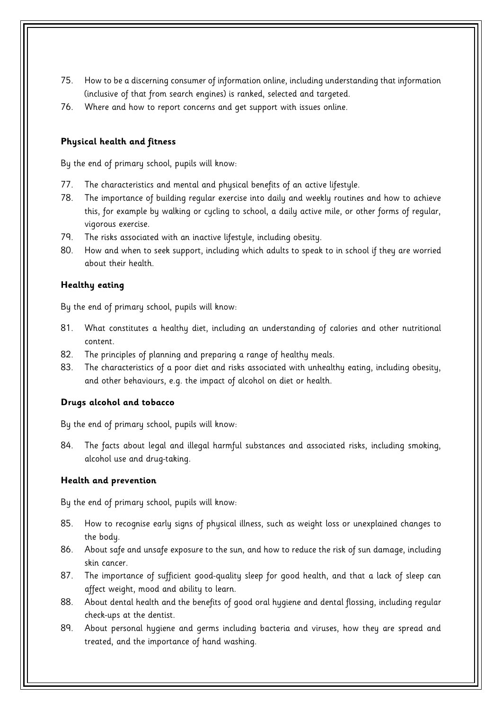- 75. How to be a discerning consumer of information online, including understanding that information (inclusive of that from search engines) is ranked, selected and targeted.
- 76. Where and how to report concerns and get support with issues online.

# **Physical health and fitness**

By the end of primary school, pupils will know:

- 77. The characteristics and mental and physical benefits of an active lifestyle.
- 78. The importance of building regular exercise into daily and weekly routines and how to achieve this, for example by walking or cycling to school, a daily active mile, or other forms of regular, vigorous exercise.
- 79. The risks associated with an inactive lifestyle, including obesity.
- 80. How and when to seek support, including which adults to speak to in school if they are worried about their health.

# **Healthy eating**

By the end of primary school, pupils will know:

- 81. What constitutes a healthy diet, including an understanding of calories and other nutritional content.
- 82. The principles of planning and preparing a range of healthy meals.
- 83. The characteristics of a poor diet and risks associated with unhealthy eating, including obesity, and other behaviours, e.g. the impact of alcohol on diet or health.

# **Drugs alcohol and tobacco**

By the end of primary school, pupils will know:

84. The facts about legal and illegal harmful substances and associated risks, including smoking, alcohol use and drug-taking.

# **Health and prevention**

- 85. How to recognise early signs of physical illness, such as weight loss or unexplained changes to the body.
- 86. About safe and unsafe exposure to the sun, and how to reduce the risk of sun damage, including skin cancer.
- 87. The importance of sufficient good-quality sleep for good health, and that a lack of sleep can affect weight, mood and ability to learn.
- 88. About dental health and the benefits of good oral hygiene and dental flossing, including regular check-ups at the dentist.
- 89. About personal hygiene and germs including bacteria and viruses, how they are spread and treated, and the importance of hand washing.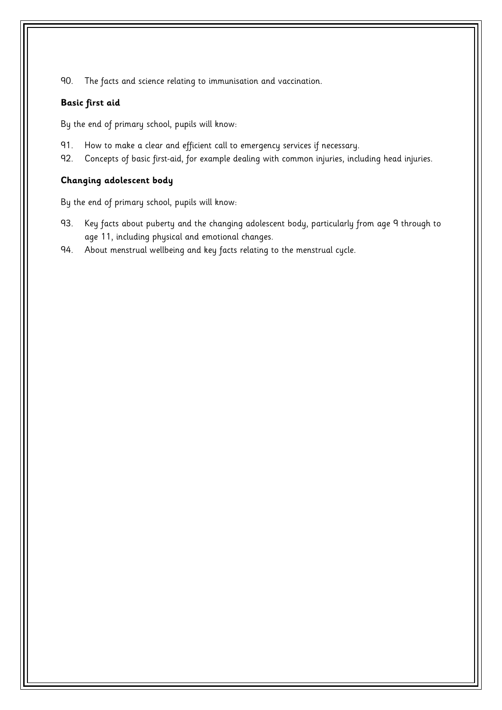90. The facts and science relating to immunisation and vaccination.

## **Basic first aid**

By the end of primary school, pupils will know:

- 91. How to make a clear and efficient call to emergency services if necessary.
- 92. Concepts of basic first-aid, for example dealing with common injuries, including head injuries.

# **Changing adolescent body**

- 93. Key facts about puberty and the changing adolescent body, particularly from age 9 through to age 11, including physical and emotional changes.
- 94. About menstrual wellbeing and key facts relating to the menstrual cycle.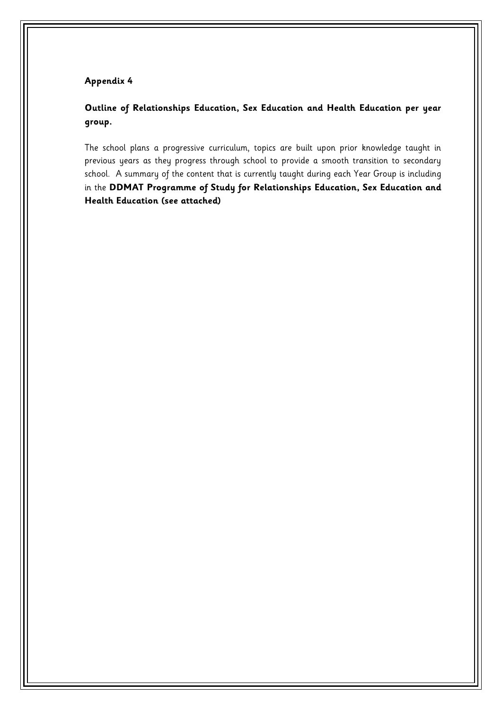# **Outline of Relationships Education, Sex Education and Health Education per year group.**

The school plans a progressive curriculum, topics are built upon prior knowledge taught in previous years as they progress through school to provide a smooth transition to secondary school. A summary of the content that is currently taught during each Year Group is including in the **DDMAT Programme of Study for Relationships Education, Sex Education and Health Education (see attached)**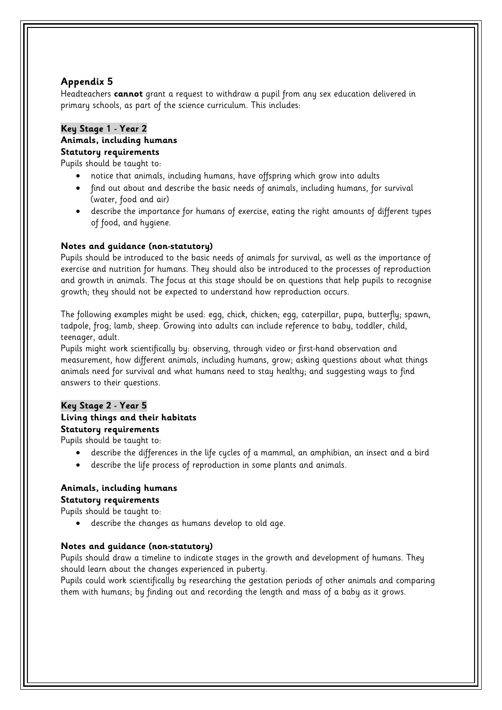Headteachers **cannot** grant a request to withdraw a pupil from any sex education delivered in primary schools, as part of the science curriculum. This includes:

#### **Key Stage 1 - Year 2 Animals, including humans Statutory requirements**

Pupils should be taught to:

- notice that animals, including humans, have offspring which grow into adults
- find out about and describe the basic needs of animals, including humans, for survival (water, food and air)
- describe the importance for humans of exercise, eating the right amounts of different types of food, and hygiene.

## **Notes and guidance (non-statutory)**

Pupils should be introduced to the basic needs of animals for survival, as well as the importance of exercise and nutrition for humans. They should also be introduced to the processes of reproduction and growth in animals. The focus at this stage should be on questions that help pupils to recognise growth; they should not be expected to understand how reproduction occurs.

The following examples might be used: egg, chick, chicken; egg, caterpillar, pupa, butterfly; spawn, tadpole, frog; lamb, sheep. Growing into adults can include reference to baby, toddler, child, teenager, adult.

Pupils might work scientifically by: observing, through video or first-hand observation and measurement, how different animals, including humans, grow; asking questions about what things animals need for survival and what humans need to stay healthy; and suggesting ways to find answers to their questions.

## **Key Stage 2 - Year 5 Living things and their habitats**

**Statutory requirements**

Pupils should be taught to:

- describe the differences in the life cycles of a mammal, an amphibian, an insect and a bird
- describe the life process of reproduction in some plants and animals.

#### **Animals, including humans Statutory requirements**

Pupils should be taught to:

describe the changes as humans develop to old age.

# **Notes and guidance (non-statutory)**

Pupils should draw a timeline to indicate stages in the growth and development of humans. They should learn about the changes experienced in puberty.

Pupils could work scientifically by researching the gestation periods of other animals and comparing them with humans; by finding out and recording the length and mass of a baby as it grows.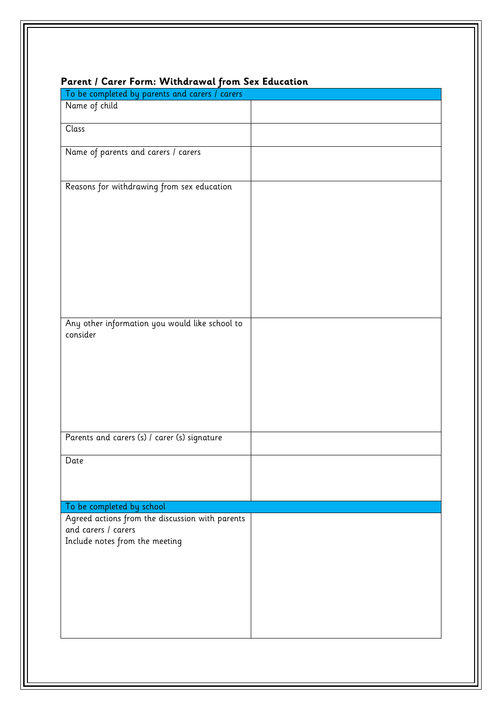| To be completed by parents and carers / carers                         |  |
|------------------------------------------------------------------------|--|
| Name of child                                                          |  |
| Class                                                                  |  |
|                                                                        |  |
| Name of parents and carers / carers                                    |  |
|                                                                        |  |
|                                                                        |  |
| Reasons for withdrawing from sex education                             |  |
|                                                                        |  |
|                                                                        |  |
|                                                                        |  |
|                                                                        |  |
|                                                                        |  |
|                                                                        |  |
|                                                                        |  |
|                                                                        |  |
|                                                                        |  |
| Any other information you would like school to                         |  |
| consider                                                               |  |
|                                                                        |  |
|                                                                        |  |
|                                                                        |  |
|                                                                        |  |
|                                                                        |  |
|                                                                        |  |
|                                                                        |  |
| Parents and carers (s) / carer (s) signature                           |  |
|                                                                        |  |
| ${\sf Date}$                                                           |  |
|                                                                        |  |
|                                                                        |  |
|                                                                        |  |
| To be completed by school                                              |  |
| Agreed actions from the discussion with parents<br>and carers / carers |  |
| Include notes from the meeting                                         |  |
|                                                                        |  |
|                                                                        |  |
|                                                                        |  |
|                                                                        |  |
|                                                                        |  |
|                                                                        |  |
|                                                                        |  |
|                                                                        |  |

# **Parent / Carer Form: Withdrawal from Sex Education**